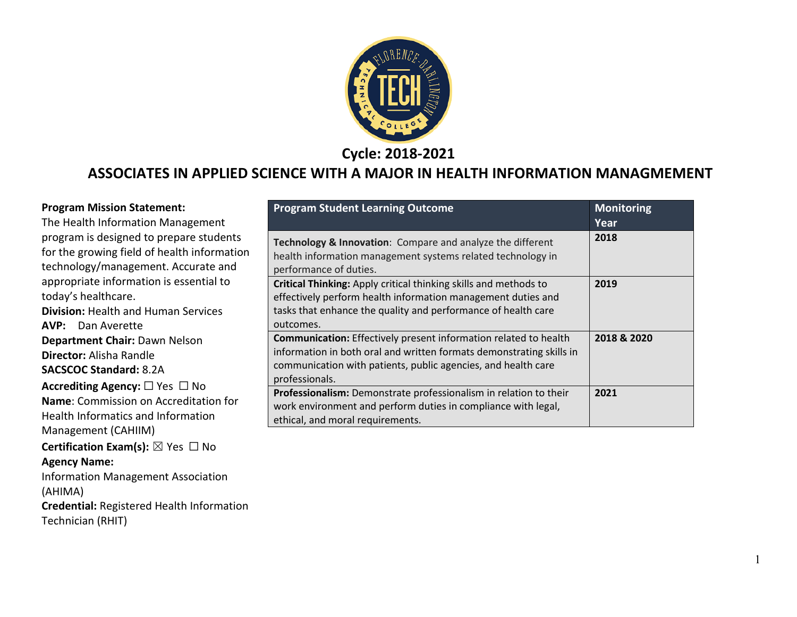

**Cycle: 2018-2021**

## **ASSOCIATES IN APPLIED SCIENCE WITH A MAJOR IN HEALTH INFORMATION MANAGMEMENT**

| <b>Program Mission Statement:</b><br>The Health Information Management<br>program is designed to prepare students<br>for the growing field of health information<br>technology/management. Accurate and<br>appropriate information is essential to<br>today's healthcare.<br><b>Division: Health and Human Services</b><br><b>AVP:</b> Dan Averette | <b>Program Student Learning Outcome</b><br>Technology & Innovation: Compare and analyze the different<br>health information management systems related technology in<br>performance of duties.                                     | <b>Monitoring</b><br>Year<br>2018 |
|-----------------------------------------------------------------------------------------------------------------------------------------------------------------------------------------------------------------------------------------------------------------------------------------------------------------------------------------------------|------------------------------------------------------------------------------------------------------------------------------------------------------------------------------------------------------------------------------------|-----------------------------------|
|                                                                                                                                                                                                                                                                                                                                                     | Critical Thinking: Apply critical thinking skills and methods to<br>effectively perform health information management duties and<br>tasks that enhance the quality and performance of health care<br>outcomes.                     | 2019                              |
| Department Chair: Dawn Nelson<br><b>Director:</b> Alisha Randle<br><b>SACSCOC Standard: 8.2A</b>                                                                                                                                                                                                                                                    | <b>Communication:</b> Effectively present information related to health<br>information in both oral and written formats demonstrating skills in<br>communication with patients, public agencies, and health care<br>professionals. | 2018 & 2020                       |
| Accrediting Agency: $\square$ Yes $\square$ No<br>Name: Commission on Accreditation for<br>Health Informatics and Information<br>Management (CAHIIM)                                                                                                                                                                                                | Professionalism: Demonstrate professionalism in relation to their<br>work environment and perform duties in compliance with legal,<br>ethical, and moral requirements.                                                             | 2021                              |
| <b>Certification Exam(s):</b> $\boxtimes$ Yes $\Box$ No<br><b>Agency Name:</b><br><b>Information Management Association</b><br>(AHIMA)<br>Credential: Registered Health Information<br>Technician (RHIT)                                                                                                                                            |                                                                                                                                                                                                                                    |                                   |

1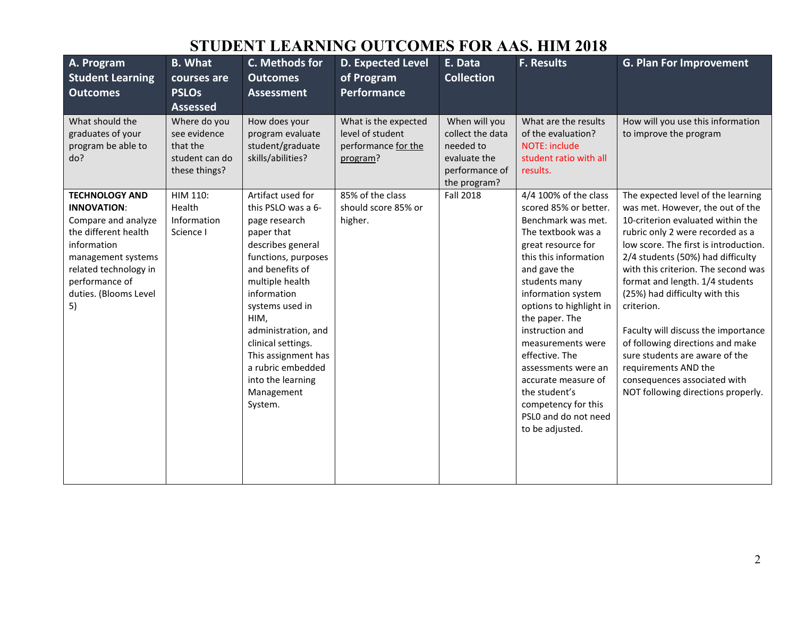| A. Program<br><b>Student Learning</b><br><b>Outcomes</b>                                                                                                                                                  | <b>B.</b> What<br>courses are<br><b>PSLOs</b><br><b>Assessed</b>            | C. Methods for<br><b>Outcomes</b><br><b>Assessment</b>                                                                                                                                                                                                                                                                                    | <b>D. Expected Level</b><br>of Program<br>Performance                       | E. Data<br><b>Collection</b>                                                                     | <b>F. Results</b>                                                                                                                                                                                                                                                                                                                                                                                                                        | <b>G. Plan For Improvement</b>                                                                                                                                                                                                                                                                                                                                                                                                                                                                                                                                     |
|-----------------------------------------------------------------------------------------------------------------------------------------------------------------------------------------------------------|-----------------------------------------------------------------------------|-------------------------------------------------------------------------------------------------------------------------------------------------------------------------------------------------------------------------------------------------------------------------------------------------------------------------------------------|-----------------------------------------------------------------------------|--------------------------------------------------------------------------------------------------|------------------------------------------------------------------------------------------------------------------------------------------------------------------------------------------------------------------------------------------------------------------------------------------------------------------------------------------------------------------------------------------------------------------------------------------|--------------------------------------------------------------------------------------------------------------------------------------------------------------------------------------------------------------------------------------------------------------------------------------------------------------------------------------------------------------------------------------------------------------------------------------------------------------------------------------------------------------------------------------------------------------------|
| What should the<br>graduates of your<br>program be able to<br>do?                                                                                                                                         | Where do you<br>see evidence<br>that the<br>student can do<br>these things? | How does your<br>program evaluate<br>student/graduate<br>skills/abilities?                                                                                                                                                                                                                                                                | What is the expected<br>level of student<br>performance for the<br>program? | When will you<br>collect the data<br>needed to<br>evaluate the<br>performance of<br>the program? | What are the results<br>of the evaluation?<br><b>NOTE: include</b><br>student ratio with all<br>results.                                                                                                                                                                                                                                                                                                                                 | How will you use this information<br>to improve the program                                                                                                                                                                                                                                                                                                                                                                                                                                                                                                        |
| <b>TECHNOLOGY AND</b><br><b>INNOVATION:</b><br>Compare and analyze<br>the different health<br>information<br>management systems<br>related technology in<br>performance of<br>duties. (Blooms Level<br>5) | HIM 110:<br>Health<br>Information<br>Science I                              | Artifact used for<br>this PSLO was a 6-<br>page research<br>paper that<br>describes general<br>functions, purposes<br>and benefits of<br>multiple health<br>information<br>systems used in<br>HIM,<br>administration, and<br>clinical settings.<br>This assignment has<br>a rubric embedded<br>into the learning<br>Management<br>System. | 85% of the class<br>should score 85% or<br>higher.                          | <b>Fall 2018</b>                                                                                 | 4/4 100% of the class<br>scored 85% or better.<br>Benchmark was met.<br>The textbook was a<br>great resource for<br>this this information<br>and gave the<br>students many<br>information system<br>options to highlight in<br>the paper. The<br>instruction and<br>measurements were<br>effective. The<br>assessments were an<br>accurate measure of<br>the student's<br>competency for this<br>PSLO and do not need<br>to be adjusted. | The expected level of the learning<br>was met. However, the out of the<br>10-criterion evaluated within the<br>rubric only 2 were recorded as a<br>low score. The first is introduction.<br>2/4 students (50%) had difficulty<br>with this criterion. The second was<br>format and length. 1/4 students<br>(25%) had difficulty with this<br>criterion.<br>Faculty will discuss the importance<br>of following directions and make<br>sure students are aware of the<br>requirements AND the<br>consequences associated with<br>NOT following directions properly. |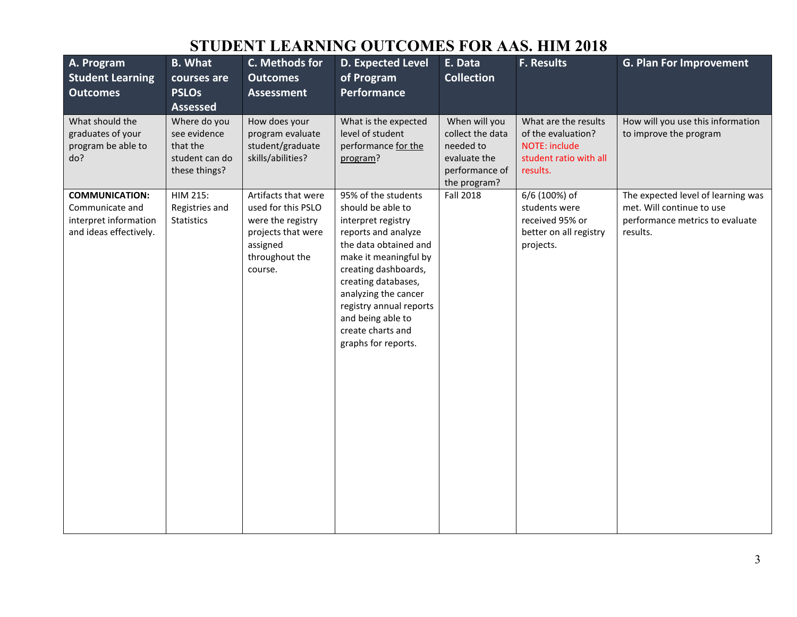| A. Program<br><b>Student Learning</b><br><b>Outcomes</b>                                    | <b>B.</b> What<br>courses are<br><b>PSLOs</b><br><b>Assessed</b>            | C. Methods for<br><b>Outcomes</b><br><b>Assessment</b>                                                                        | D. Expected Level<br>of Program<br>Performance                                                                                                                                                                                                                                                             | E. Data<br><b>Collection</b>                                                                     | F. Results                                                                                               | <b>G. Plan For Improvement</b>                                                                                 |
|---------------------------------------------------------------------------------------------|-----------------------------------------------------------------------------|-------------------------------------------------------------------------------------------------------------------------------|------------------------------------------------------------------------------------------------------------------------------------------------------------------------------------------------------------------------------------------------------------------------------------------------------------|--------------------------------------------------------------------------------------------------|----------------------------------------------------------------------------------------------------------|----------------------------------------------------------------------------------------------------------------|
| What should the<br>graduates of your<br>program be able to<br>do?                           | Where do you<br>see evidence<br>that the<br>student can do<br>these things? | How does your<br>program evaluate<br>student/graduate<br>skills/abilities?                                                    | What is the expected<br>level of student<br>performance for the<br>program?                                                                                                                                                                                                                                | When will you<br>collect the data<br>needed to<br>evaluate the<br>performance of<br>the program? | What are the results<br>of the evaluation?<br><b>NOTE: include</b><br>student ratio with all<br>results. | How will you use this information<br>to improve the program                                                    |
| <b>COMMUNICATION:</b><br>Communicate and<br>interpret information<br>and ideas effectively. | HIM 215:<br>Registries and<br>Statistics                                    | Artifacts that were<br>used for this PSLO<br>were the registry<br>projects that were<br>assigned<br>throughout the<br>course. | 95% of the students<br>should be able to<br>interpret registry<br>reports and analyze<br>the data obtained and<br>make it meaningful by<br>creating dashboards,<br>creating databases,<br>analyzing the cancer<br>registry annual reports<br>and being able to<br>create charts and<br>graphs for reports. | <b>Fall 2018</b>                                                                                 | 6/6 (100%) of<br>students were<br>received 95% or<br>better on all registry<br>projects.                 | The expected level of learning was<br>met. Will continue to use<br>performance metrics to evaluate<br>results. |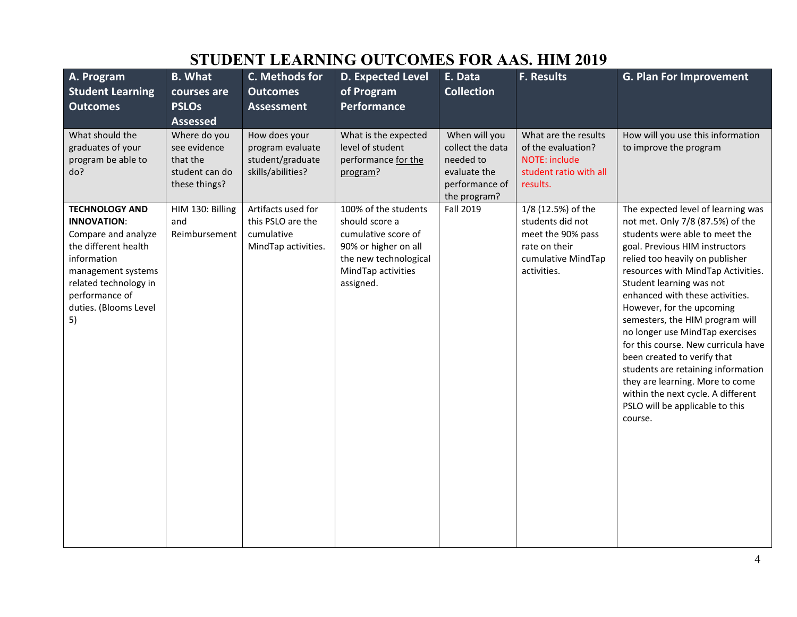| A. Program<br><b>Student Learning</b><br><b>Outcomes</b>                                                                                                                                                  | <b>B.</b> What<br>courses are<br><b>PSLOs</b><br><b>Assessed</b>            | C. Methods for<br><b>Outcomes</b><br><b>Assessment</b>                       | <b>D. Expected Level</b><br>of Program<br><b>Performance</b>                                                                                      | E. Data<br><b>Collection</b>                                                                     | <b>F. Results</b>                                                                                                 | <b>G. Plan For Improvement</b>                                                                                                                                                                                                                                                                                                                                                                                                                                                                                                                                                                                           |
|-----------------------------------------------------------------------------------------------------------------------------------------------------------------------------------------------------------|-----------------------------------------------------------------------------|------------------------------------------------------------------------------|---------------------------------------------------------------------------------------------------------------------------------------------------|--------------------------------------------------------------------------------------------------|-------------------------------------------------------------------------------------------------------------------|--------------------------------------------------------------------------------------------------------------------------------------------------------------------------------------------------------------------------------------------------------------------------------------------------------------------------------------------------------------------------------------------------------------------------------------------------------------------------------------------------------------------------------------------------------------------------------------------------------------------------|
| What should the<br>graduates of your<br>program be able to<br>do?                                                                                                                                         | Where do you<br>see evidence<br>that the<br>student can do<br>these things? | How does your<br>program evaluate<br>student/graduate<br>skills/abilities?   | What is the expected<br>level of student<br>performance for the<br>program?                                                                       | When will you<br>collect the data<br>needed to<br>evaluate the<br>performance of<br>the program? | What are the results<br>of the evaluation?<br><b>NOTE: include</b><br>student ratio with all<br>results.          | How will you use this information<br>to improve the program                                                                                                                                                                                                                                                                                                                                                                                                                                                                                                                                                              |
| <b>TECHNOLOGY AND</b><br><b>INNOVATION:</b><br>Compare and analyze<br>the different health<br>information<br>management systems<br>related technology in<br>performance of<br>duties. (Blooms Level<br>5) | HIM 130: Billing<br>and<br>Reimbursement                                    | Artifacts used for<br>this PSLO are the<br>cumulative<br>MindTap activities. | 100% of the students<br>should score a<br>cumulative score of<br>90% or higher on all<br>the new technological<br>MindTap activities<br>assigned. | <b>Fall 2019</b>                                                                                 | 1/8 (12.5%) of the<br>students did not<br>meet the 90% pass<br>rate on their<br>cumulative MindTap<br>activities. | The expected level of learning was<br>not met. Only 7/8 (87.5%) of the<br>students were able to meet the<br>goal. Previous HIM instructors<br>relied too heavily on publisher<br>resources with MindTap Activities.<br>Student learning was not<br>enhanced with these activities.<br>However, for the upcoming<br>semesters, the HIM program will<br>no longer use MindTap exercises<br>for this course. New curricula have<br>been created to verify that<br>students are retaining information<br>they are learning. More to come<br>within the next cycle. A different<br>PSLO will be applicable to this<br>course. |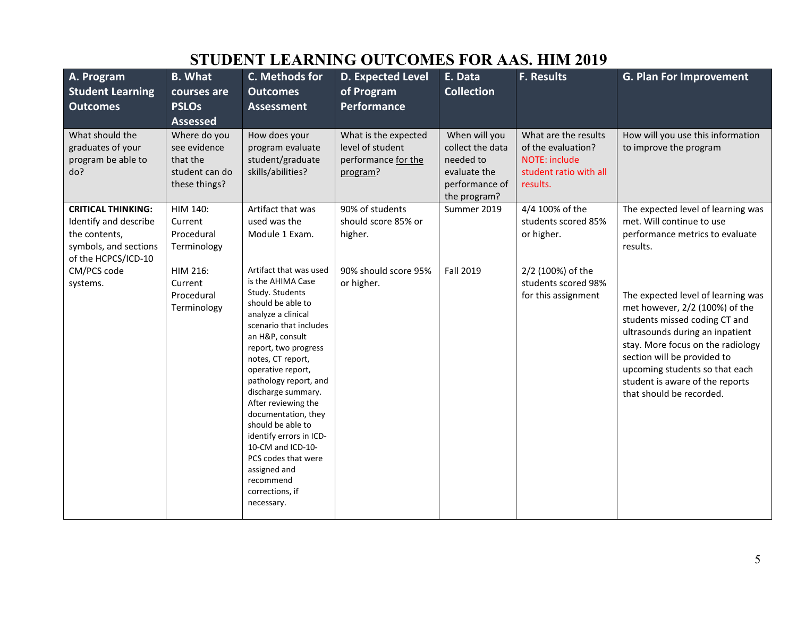| A. Program<br><b>Student Learning</b><br><b>Outcomes</b>                                                            | <b>B.</b> What<br>courses are<br><b>PSLOs</b><br><b>Assessed</b>            | C. Methods for<br><b>Outcomes</b><br><b>Assessment</b>                                                                                                                                                                                                                                                                                                                                                                                                                          | <b>D. Expected Level</b><br>of Program<br><b>Performance</b>                | E. Data<br><b>Collection</b>                                                                     | <b>F. Results</b>                                                                                        | <b>G. Plan For Improvement</b>                                                                                                                                                                                                                                                                                |
|---------------------------------------------------------------------------------------------------------------------|-----------------------------------------------------------------------------|---------------------------------------------------------------------------------------------------------------------------------------------------------------------------------------------------------------------------------------------------------------------------------------------------------------------------------------------------------------------------------------------------------------------------------------------------------------------------------|-----------------------------------------------------------------------------|--------------------------------------------------------------------------------------------------|----------------------------------------------------------------------------------------------------------|---------------------------------------------------------------------------------------------------------------------------------------------------------------------------------------------------------------------------------------------------------------------------------------------------------------|
| What should the<br>graduates of your<br>program be able to<br>do?                                                   | Where do you<br>see evidence<br>that the<br>student can do<br>these things? | How does your<br>program evaluate<br>student/graduate<br>skills/abilities?                                                                                                                                                                                                                                                                                                                                                                                                      | What is the expected<br>level of student<br>performance for the<br>program? | When will you<br>collect the data<br>needed to<br>evaluate the<br>performance of<br>the program? | What are the results<br>of the evaluation?<br><b>NOTE: include</b><br>student ratio with all<br>results. | How will you use this information<br>to improve the program                                                                                                                                                                                                                                                   |
| <b>CRITICAL THINKING:</b><br>Identify and describe<br>the contents,<br>symbols, and sections<br>of the HCPCS/ICD-10 | HIM 140:<br>Current<br>Procedural<br>Terminology                            | Artifact that was<br>used was the<br>Module 1 Exam.                                                                                                                                                                                                                                                                                                                                                                                                                             | 90% of students<br>should score 85% or<br>higher.                           | Summer 2019                                                                                      | 4/4 100% of the<br>students scored 85%<br>or higher.                                                     | The expected level of learning was<br>met. Will continue to use<br>performance metrics to evaluate<br>results.                                                                                                                                                                                                |
| CM/PCS code<br>systems.                                                                                             | HIM 216:<br>Current<br>Procedural<br>Terminology                            | Artifact that was used<br>is the AHIMA Case<br>Study. Students<br>should be able to<br>analyze a clinical<br>scenario that includes<br>an H&P, consult<br>report, two progress<br>notes, CT report,<br>operative report,<br>pathology report, and<br>discharge summary.<br>After reviewing the<br>documentation, they<br>should be able to<br>identify errors in ICD-<br>10-CM and ICD-10-<br>PCS codes that were<br>assigned and<br>recommend<br>corrections, if<br>necessary. | 90% should score 95%<br>or higher.                                          | <b>Fall 2019</b>                                                                                 | 2/2 (100%) of the<br>students scored 98%<br>for this assignment                                          | The expected level of learning was<br>met however, 2/2 (100%) of the<br>students missed coding CT and<br>ultrasounds during an inpatient<br>stay. More focus on the radiology<br>section will be provided to<br>upcoming students so that each<br>student is aware of the reports<br>that should be recorded. |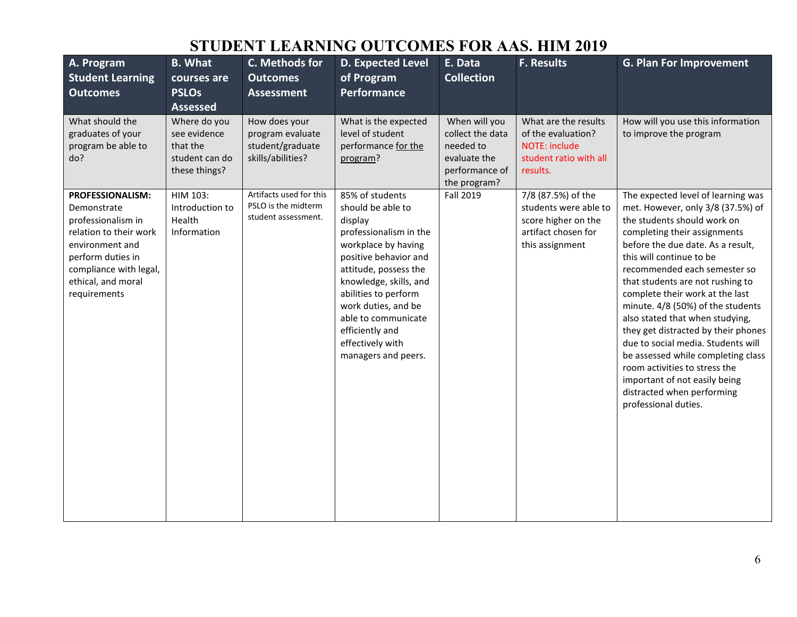| A. Program<br><b>Student Learning</b><br><b>Outcomes</b>                                                                                                                                | <b>B.</b> What<br>courses are<br><b>PSLOs</b><br><b>Assessed</b>            | C. Methods for<br><b>Outcomes</b><br><b>Assessment</b>                     | <b>D. Expected Level</b><br>of Program<br><b>Performance</b>                                                                                                                                                                                                                                                     | E. Data<br><b>Collection</b>                                                                     | F. Results                                                                                                   | <b>G. Plan For Improvement</b>                                                                                                                                                                                                                                                                                                                                                                                                                                                                                                                                                                                                    |
|-----------------------------------------------------------------------------------------------------------------------------------------------------------------------------------------|-----------------------------------------------------------------------------|----------------------------------------------------------------------------|------------------------------------------------------------------------------------------------------------------------------------------------------------------------------------------------------------------------------------------------------------------------------------------------------------------|--------------------------------------------------------------------------------------------------|--------------------------------------------------------------------------------------------------------------|-----------------------------------------------------------------------------------------------------------------------------------------------------------------------------------------------------------------------------------------------------------------------------------------------------------------------------------------------------------------------------------------------------------------------------------------------------------------------------------------------------------------------------------------------------------------------------------------------------------------------------------|
| What should the<br>graduates of your<br>program be able to<br>do?                                                                                                                       | Where do you<br>see evidence<br>that the<br>student can do<br>these things? | How does your<br>program evaluate<br>student/graduate<br>skills/abilities? | What is the expected<br>level of student<br>performance for the<br>program?                                                                                                                                                                                                                                      | When will you<br>collect the data<br>needed to<br>evaluate the<br>performance of<br>the program? | What are the results<br>of the evaluation?<br><b>NOTE: include</b><br>student ratio with all<br>results.     | How will you use this information<br>to improve the program                                                                                                                                                                                                                                                                                                                                                                                                                                                                                                                                                                       |
| PROFESSIONALISM:<br>Demonstrate<br>professionalism in<br>relation to their work<br>environment and<br>perform duties in<br>compliance with legal,<br>ethical, and moral<br>requirements | HIM 103:<br>Introduction to<br>Health<br>Information                        | Artifacts used for this<br>PSLO is the midterm<br>student assessment.      | 85% of students<br>should be able to<br>display<br>professionalism in the<br>workplace by having<br>positive behavior and<br>attitude, possess the<br>knowledge, skills, and<br>abilities to perform<br>work duties, and be<br>able to communicate<br>efficiently and<br>effectively with<br>managers and peers. | Fall 2019                                                                                        | 7/8 (87.5%) of the<br>students were able to<br>score higher on the<br>artifact chosen for<br>this assignment | The expected level of learning was<br>met. However, only 3/8 (37.5%) of<br>the students should work on<br>completing their assignments<br>before the due date. As a result,<br>this will continue to be<br>recommended each semester so<br>that students are not rushing to<br>complete their work at the last<br>minute. 4/8 (50%) of the students<br>also stated that when studying,<br>they get distracted by their phones<br>due to social media. Students will<br>be assessed while completing class<br>room activities to stress the<br>important of not easily being<br>distracted when performing<br>professional duties. |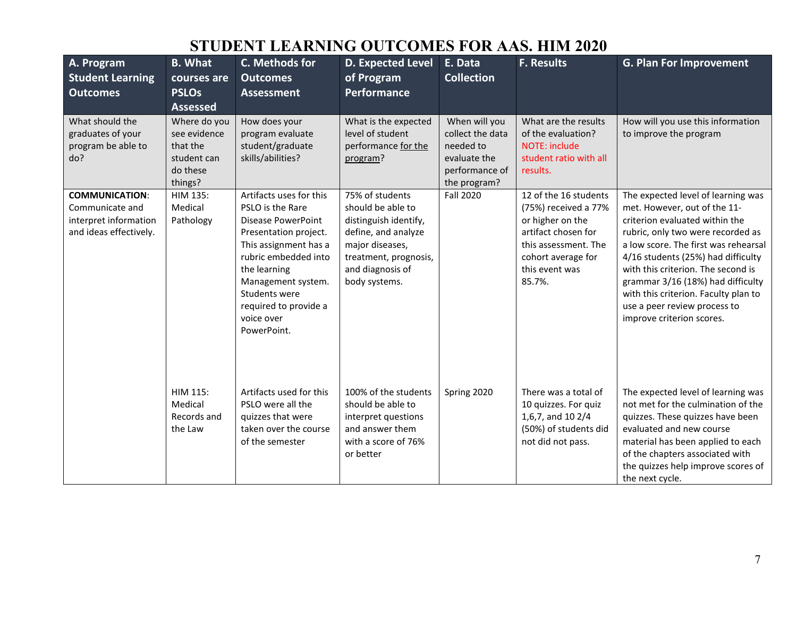| A. Program<br><b>Student Learning</b><br><b>Outcomes</b>                                    | <b>B.</b> What<br>courses are<br><b>PSLOs</b><br><b>Assessed</b>               | C. Methods for<br><b>Outcomes</b><br><b>Assessment</b>                                                                                                                                                                                                          | <b>D. Expected Level</b><br>of Program<br><b>Performance</b>                                                                                                          | E. Data<br><b>Collection</b>                                                                     | <b>F. Results</b>                                                                                                                                                  | <b>G. Plan For Improvement</b>                                                                                                                                                                                                                                                                                                                                                                          |
|---------------------------------------------------------------------------------------------|--------------------------------------------------------------------------------|-----------------------------------------------------------------------------------------------------------------------------------------------------------------------------------------------------------------------------------------------------------------|-----------------------------------------------------------------------------------------------------------------------------------------------------------------------|--------------------------------------------------------------------------------------------------|--------------------------------------------------------------------------------------------------------------------------------------------------------------------|---------------------------------------------------------------------------------------------------------------------------------------------------------------------------------------------------------------------------------------------------------------------------------------------------------------------------------------------------------------------------------------------------------|
| What should the<br>graduates of your<br>program be able to<br>do?                           | Where do you<br>see evidence<br>that the<br>student can<br>do these<br>things? | How does your<br>program evaluate<br>student/graduate<br>skills/abilities?                                                                                                                                                                                      | What is the expected<br>level of student<br>performance for the<br>program?                                                                                           | When will you<br>collect the data<br>needed to<br>evaluate the<br>performance of<br>the program? | What are the results<br>of the evaluation?<br>NOTE: include<br>student ratio with all<br>results.                                                                  | How will you use this information<br>to improve the program                                                                                                                                                                                                                                                                                                                                             |
| <b>COMMUNICATION:</b><br>Communicate and<br>interpret information<br>and ideas effectively. | HIM 135:<br>Medical<br>Pathology                                               | Artifacts uses for this<br>PSLO is the Rare<br><b>Disease PowerPoint</b><br>Presentation project.<br>This assignment has a<br>rubric embedded into<br>the learning<br>Management system.<br>Students were<br>required to provide a<br>voice over<br>PowerPoint. | 75% of students<br>should be able to<br>distinguish identify,<br>define, and analyze<br>major diseases,<br>treatment, prognosis,<br>and diagnosis of<br>body systems. | <b>Fall 2020</b>                                                                                 | 12 of the 16 students<br>(75%) received a 77%<br>or higher on the<br>artifact chosen for<br>this assessment. The<br>cohort average for<br>this event was<br>85.7%. | The expected level of learning was<br>met. However, out of the 11-<br>criterion evaluated within the<br>rubric, only two were recorded as<br>a low score. The first was rehearsal<br>4/16 students (25%) had difficulty<br>with this criterion. The second is<br>grammar 3/16 (18%) had difficulty<br>with this criterion. Faculty plan to<br>use a peer review process to<br>improve criterion scores. |
|                                                                                             | <b>HIM 115:</b><br>Medical<br>Records and<br>the Law                           | Artifacts used for this<br>PSLO were all the<br>quizzes that were<br>taken over the course<br>of the semester                                                                                                                                                   | 100% of the students<br>should be able to<br>interpret questions<br>and answer them<br>with a score of 76%<br>or better                                               | Spring 2020                                                                                      | There was a total of<br>10 quizzes. For quiz<br>1,6,7, and 10 2/4<br>(50%) of students did<br>not did not pass.                                                    | The expected level of learning was<br>not met for the culmination of the<br>quizzes. These quizzes have been<br>evaluated and new course<br>material has been applied to each<br>of the chapters associated with<br>the quizzes help improve scores of<br>the next cycle.                                                                                                                               |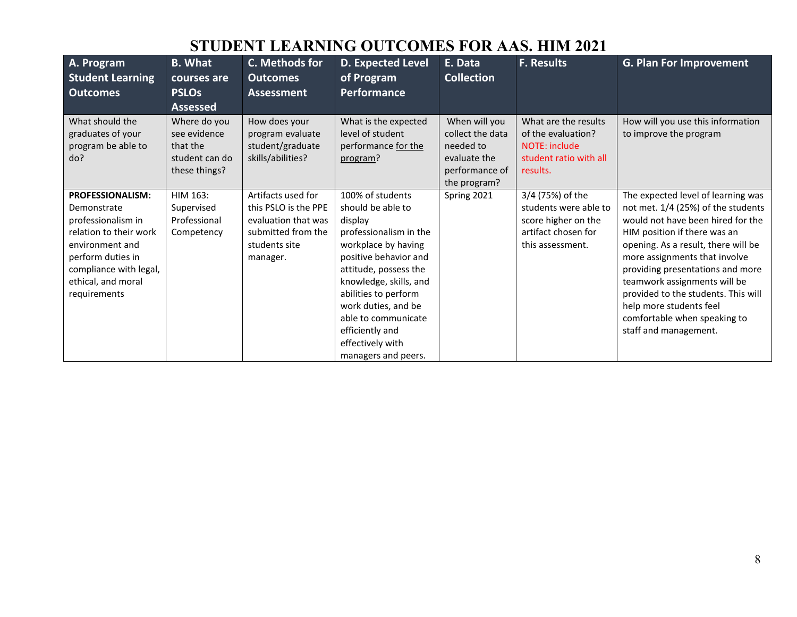| A. Program<br><b>Student Learning</b><br><b>Outcomes</b>                                                                                                                                       | <b>B.</b> What<br>courses are<br><b>PSLOs</b><br><b>Assessed</b>            | C. Methods for<br><b>Outcomes</b><br><b>Assessment</b>                                                               | <b>D. Expected Level</b><br>of Program<br>Performance                                                                                                                                                                                                                                                             | E. Data<br><b>Collection</b>                                                                     | <b>F. Results</b>                                                                                           | <b>G. Plan For Improvement</b>                                                                                                                                                                                                                                                                                                                                                                                       |
|------------------------------------------------------------------------------------------------------------------------------------------------------------------------------------------------|-----------------------------------------------------------------------------|----------------------------------------------------------------------------------------------------------------------|-------------------------------------------------------------------------------------------------------------------------------------------------------------------------------------------------------------------------------------------------------------------------------------------------------------------|--------------------------------------------------------------------------------------------------|-------------------------------------------------------------------------------------------------------------|----------------------------------------------------------------------------------------------------------------------------------------------------------------------------------------------------------------------------------------------------------------------------------------------------------------------------------------------------------------------------------------------------------------------|
| What should the<br>graduates of your<br>program be able to<br>do?                                                                                                                              | Where do you<br>see evidence<br>that the<br>student can do<br>these things? | How does your<br>program evaluate<br>student/graduate<br>skills/abilities?                                           | What is the expected<br>level of student<br>performance for the<br>program?                                                                                                                                                                                                                                       | When will you<br>collect the data<br>needed to<br>evaluate the<br>performance of<br>the program? | What are the results<br>of the evaluation?<br><b>NOTE: include</b><br>student ratio with all<br>results.    | How will you use this information<br>to improve the program                                                                                                                                                                                                                                                                                                                                                          |
| <b>PROFESSIONALISM:</b><br>Demonstrate<br>professionalism in<br>relation to their work<br>environment and<br>perform duties in<br>compliance with legal,<br>ethical, and moral<br>requirements | HIM 163:<br>Supervised<br>Professional<br>Competency                        | Artifacts used for<br>this PSLO is the PPE<br>evaluation that was<br>submitted from the<br>students site<br>manager. | 100% of students<br>should be able to<br>display<br>professionalism in the<br>workplace by having<br>positive behavior and<br>attitude, possess the<br>knowledge, skills, and<br>abilities to perform<br>work duties, and be<br>able to communicate<br>efficiently and<br>effectively with<br>managers and peers. | Spring 2021                                                                                      | 3/4 (75%) of the<br>students were able to<br>score higher on the<br>artifact chosen for<br>this assessment. | The expected level of learning was<br>not met. 1/4 (25%) of the students<br>would not have been hired for the<br>HIM position if there was an<br>opening. As a result, there will be<br>more assignments that involve<br>providing presentations and more<br>teamwork assignments will be<br>provided to the students. This will<br>help more students feel<br>comfortable when speaking to<br>staff and management. |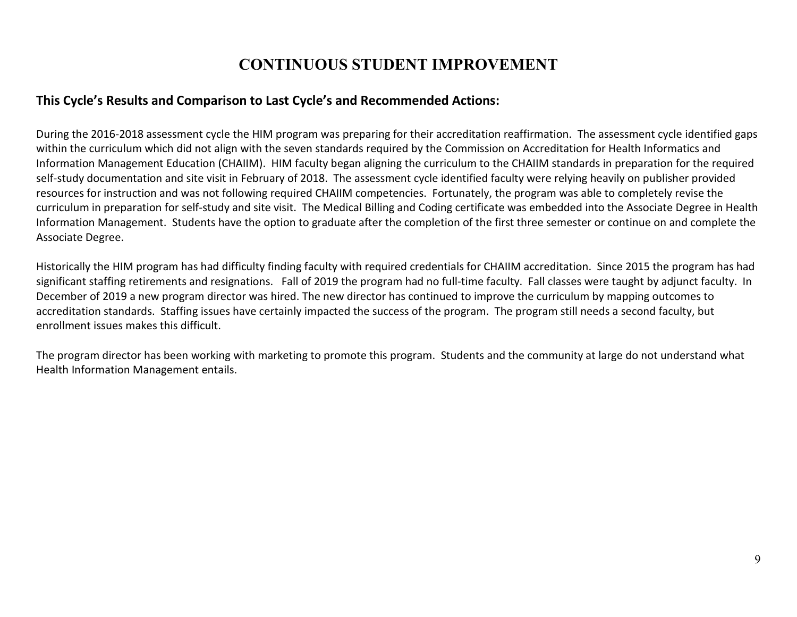#### **CONTINUOUS STUDENT IMPROVEMENT**

#### **This Cycle's Results and Comparison to Last Cycle's and Recommended Actions:**

During the 2016-2018 assessment cycle the HIM program was preparing for their accreditation reaffirmation. The assessment cycle identified gaps within the curriculum which did not align with the seven standards required by the Commission on Accreditation for Health Informatics and Information Management Education (CHAIIM). HIM faculty began aligning the curriculum to the CHAIIM standards in preparation for the required self-study documentation and site visit in February of 2018. The assessment cycle identified faculty were relying heavily on publisher provided resources for instruction and was not following required CHAIIM competencies. Fortunately, the program was able to completely revise the curriculum in preparation for self-study and site visit. The Medical Billing and Coding certificate was embedded into the Associate Degree in Health Information Management. Students have the option to graduate after the completion of the first three semester or continue on and complete the Associate Degree.

Historically the HIM program has had difficulty finding faculty with required credentials for CHAIIM accreditation. Since 2015 the program has had significant staffing retirements and resignations. Fall of 2019 the program had no full-time faculty. Fall classes were taught by adjunct faculty. In December of 2019 a new program director was hired. The new director has continued to improve the curriculum by mapping outcomes to accreditation standards. Staffing issues have certainly impacted the success of the program. The program still needs a second faculty, but enrollment issues makes this difficult.

The program director has been working with marketing to promote this program. Students and the community at large do not understand what Health Information Management entails.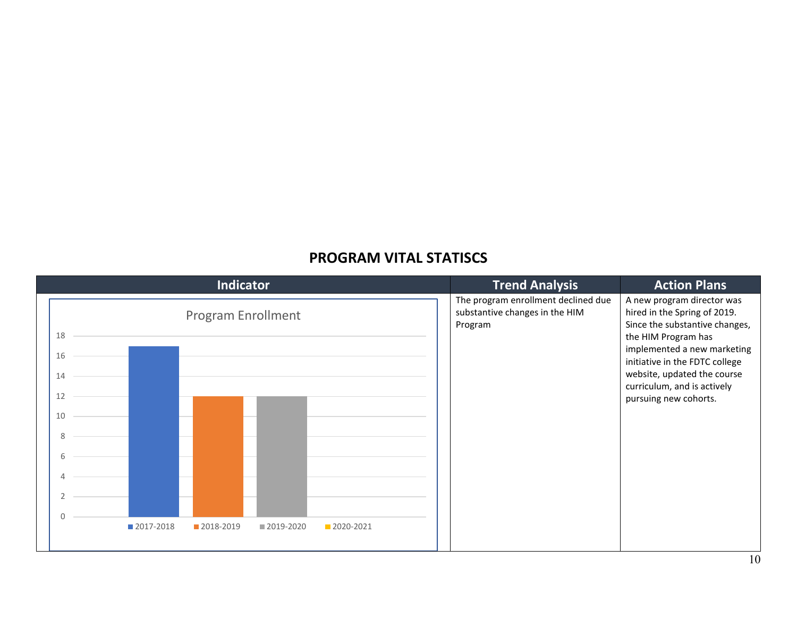#### **PROGRAM VITAL STATISCS**

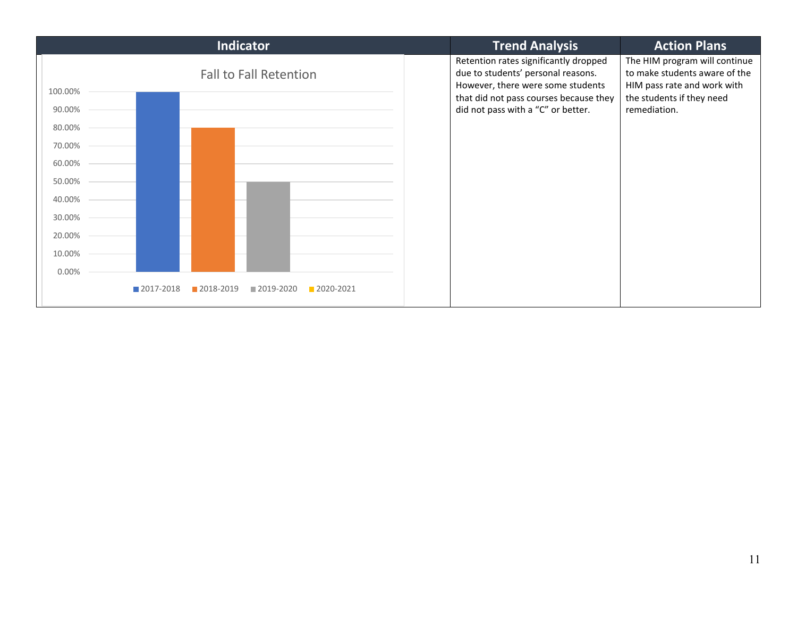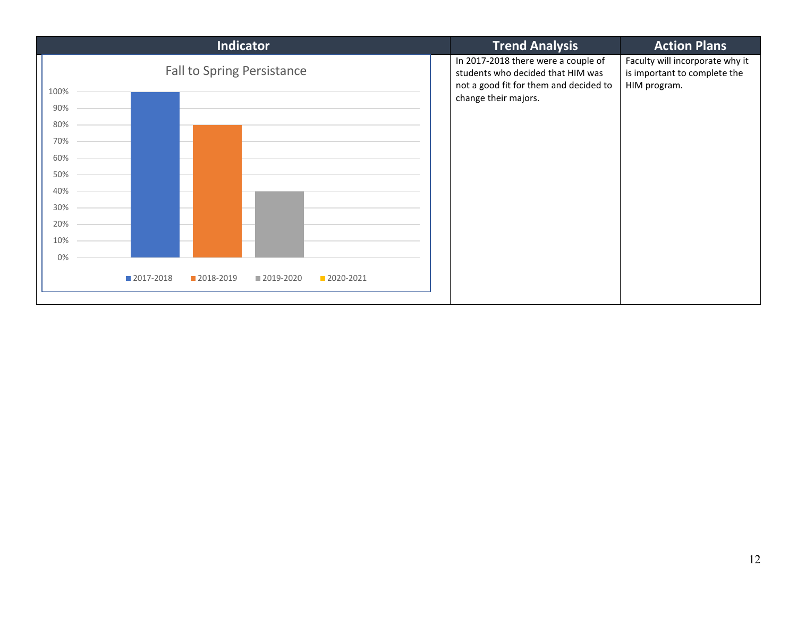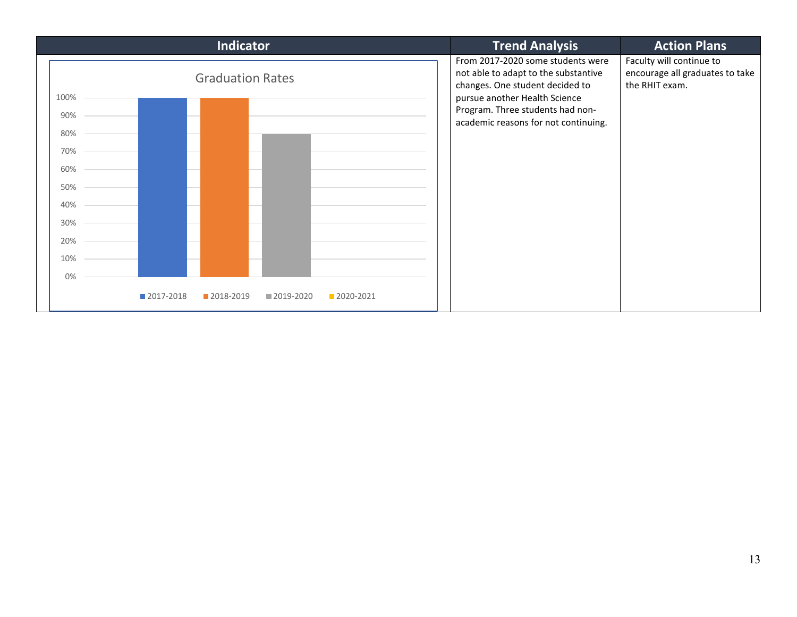